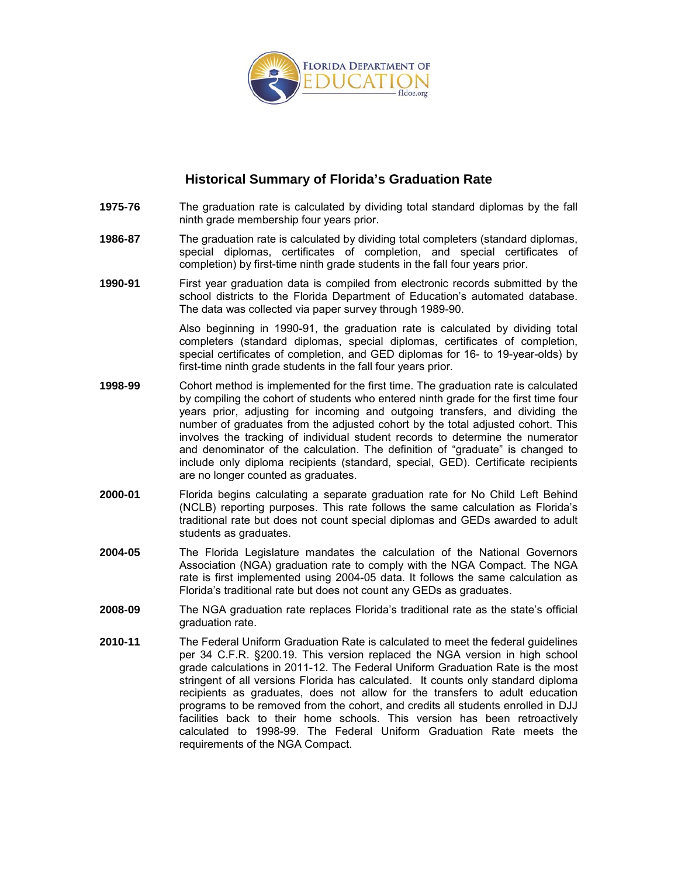

## **Historical Summary of Florida's Graduation Rate**

- **1975-76** The graduation rate is calculated by dividing total standard diplomas by the fall ninth grade membership four years prior.
- **1986-87** The graduation rate is calculated by dividing total completers (standard diplomas, special diplomas, certificates of completion, and special certificates of completion) by first-time ninth grade students in the fall four years prior.
- **1990-91** First year graduation data is compiled from electronic records submitted by the school districts to the Florida Department of Education's automated database. The data was collected via paper survey through 1989-90.

Also beginning in 1990-91, the graduation rate is calculated by dividing total completers (standard diplomas, special diplomas, certificates of completion, special certificates of completion, and GED diplomas for 16- to 19-year-olds) by first-time ninth grade students in the fall four years prior.

- **1998-99** Cohort method is implemented for the first time. The graduation rate is calculated by compiling the cohort of students who entered ninth grade for the first time four years prior, adjusting for incoming and outgoing transfers, and dividing the number of graduates from the adjusted cohort by the total adjusted cohort. This involves the tracking of individual student records to determine the numerator and denominator of the calculation. The definition of "graduate" is changed to include only diploma recipients (standard, special, GED). Certificate recipients are no longer counted as graduates.
- **2000-01** Florida begins calculating a separate graduation rate for No Child Left Behind (NCLB) reporting purposes. This rate follows the same calculation as Florida's traditional rate but does not count special diplomas and GEDs awarded to adult students as graduates.
- **2004-05** The Florida Legislature mandates the calculation of the National Governors Association (NGA) graduation rate to comply with the NGA Compact. The NGA rate is first implemented using 2004-05 data. It follows the same calculation as Florida's traditional rate but does not count any GEDs as graduates.
- **2008-09** The NGA graduation rate replaces Florida's traditional rate as the state's official graduation rate.
- **2010-11** The Federal Uniform Graduation Rate is calculated to meet the federal guidelines per 34 C.F.R. §200.19. This version replaced the NGA version in high school grade calculations in 2011-12. The Federal Uniform Graduation Rate is the most stringent of all versions Florida has calculated. It counts only standard diploma recipients as graduates, does not allow for the transfers to adult education programs to be removed from the cohort, and credits all students enrolled in DJJ facilities back to their home schools. This version has been retroactively calculated to 1998-99. The Federal Uniform Graduation Rate meets the requirements of the NGA Compact.